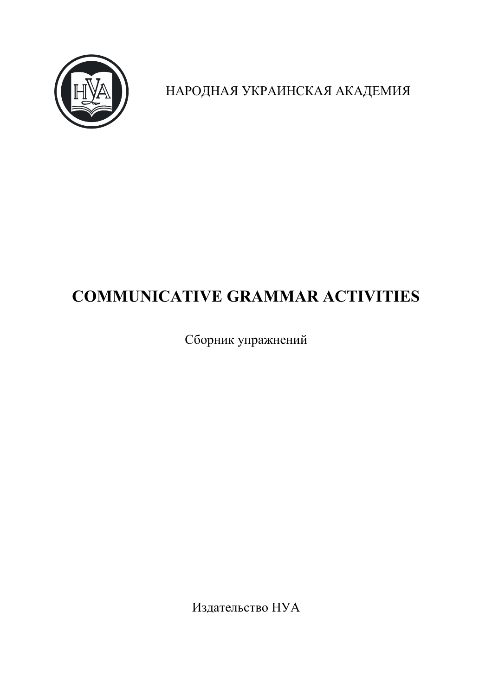

НАРОДНАЯ УКРАИНСКАЯ АКАДЕМИЯ

# **COMMUNICATIVE GRAMMAR ACTIVITIES**

Сборник упражнений

Издательство НУА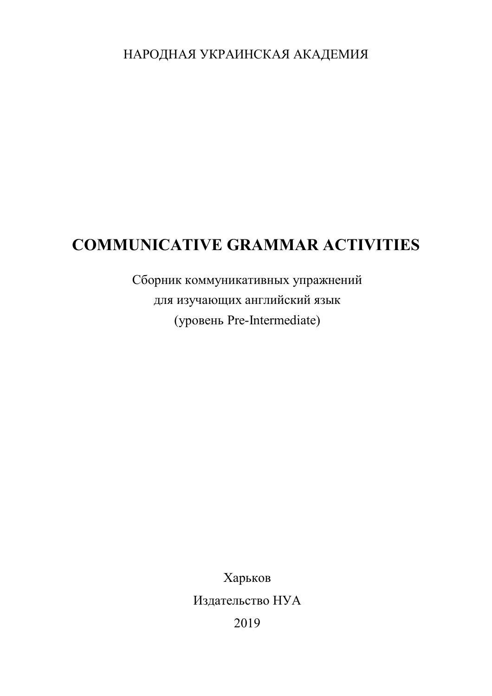НАРОДНАЯ УКРАИНСКАЯ АКАДЕМИЯ

# **COMMUNICATIVE GRAMMAR ACTIVITIES**

Сборник коммуникативных упражнений для изучающих английский язык (уровень Pre-Intermediate)

> Харьков Издательство НУА 2019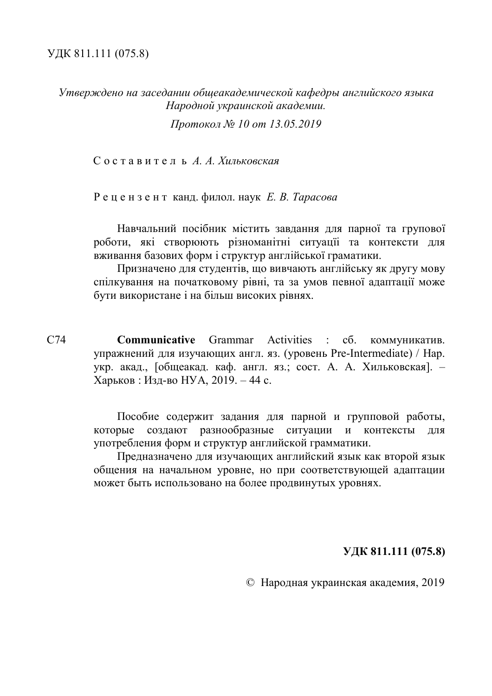*Утверждено на заседании общеакадемической кафедры английского языка Народной украинской академии.*

*Протокол № 10 от 13.05.2019*

С о с т а в и т е л ь *А. А. Хильковская*

Р е ц е н з е н т канд. филол. наук *Е. В. Тарасова*

Навчальний посібник містить завдання для парної та групової роботи, які створюють різноманітні ситуацїі та контексти для вживання базових форм і структур англійської граматики.

Призначено для студентів, що вивчають англійську як другу мову спілкування на початковому рівні, та за умов певної адаптації може бути використане і на більш високих рівнях.

С74 **Communicative** Grammar Activities : сб. коммуникатив. упражнений для изучающих англ. яз. (уровень Pre-Intermediate) / Нар. укр. акад., [общеакад. каф. англ. яз.; сост. А. А. Хильковская]. – Харьков : Изд-во НУА, 2019. – 44 с.

> Пособие содержит задания для парной и групповой работы, которые создают разнообразные ситуации и контексты для употребления форм и структур английской грамматики.

> Предназначено для изучающих английский язык как второй язык общения на начальном уровне, но при соответствующей адаптации может быть использовано на более продвинутых уровнях.

#### **УДК 811.111 (075.8)**

© Народная украинская академия, 2019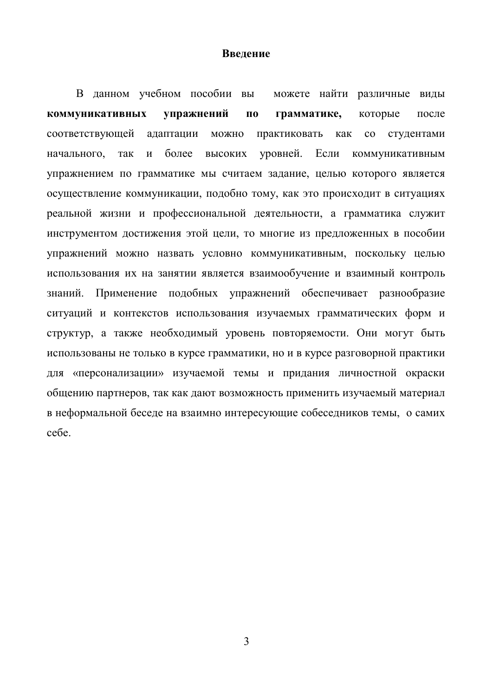#### **Введение**

В данном учебном пособии вы можете найти различные виды **коммуникативных упражнений по грамматике,** которые после соответствующей адаптации можно практиковать как со студентами начального, так и более высоких уровней. Если коммуникативным упражнением по грамматике мы считаем задание, целью которого является осуществление коммуникации, подобно тому, как это происходит в ситуациях реальной жизни и профессиональной деятельности, а грамматика служит инструментом достижения этой цели, то многие из предложенных в пособии упражнений можно назвать условно коммуникативным, поскольку целью использования их на занятии является взаимообучение и взаимный контроль знаний. Применение подобных упражнений обеспечивает разнообразие ситуаций и контекстов использования изучаемых грамматических форм и структур, а также необходимый уровень повторяемости. Они могут быть использованы не только в курсе грамматики, но и в курсе разговорной практики для «персонализации» изучаемой темы и придания личностной окраски общению партнеров, так как дают возможность применить изучаемый материал в неформальной беседе на взаимно интересующие собеседников темы, о самих себе.

3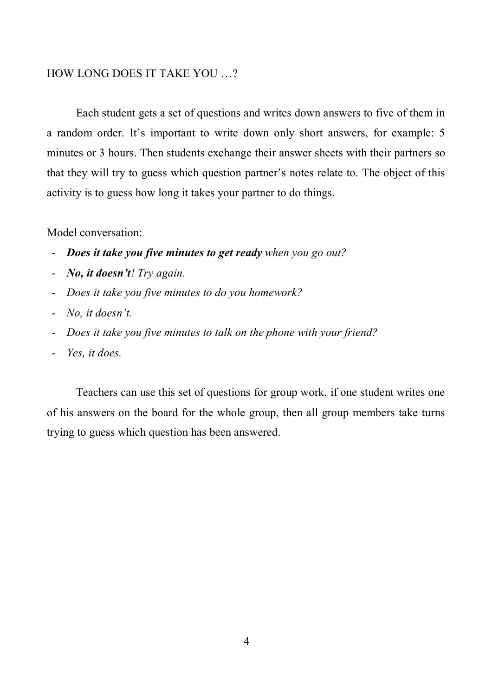### HOW LONG DOES IT TAKE YOU …?

Each student gets a set of questions and writes down answers to five of them in a random order. It's important to write down only short answers, for example: 5 minutes or 3 hours. Then students exchange their answer sheets with their partners so that they will try to guess which question partner's notes relate to. The object of this activity is to guess how long it takes your partner to do things.

#### Model conversation:

- *Does it take you five minutes to get ready when you go out?*
- *No, it doesn't! Try again.*
- *Does it take you five minutes to do you homework?*
- *No, it doesn't.*
- *Does it take you five minutes to talk on the phone with your friend?*
- *Yes, it does.*

Teachers can use this set of questions for group work, if one student writes one of his answers on the board for the whole group, then all group members take turns trying to guess which question has been answered.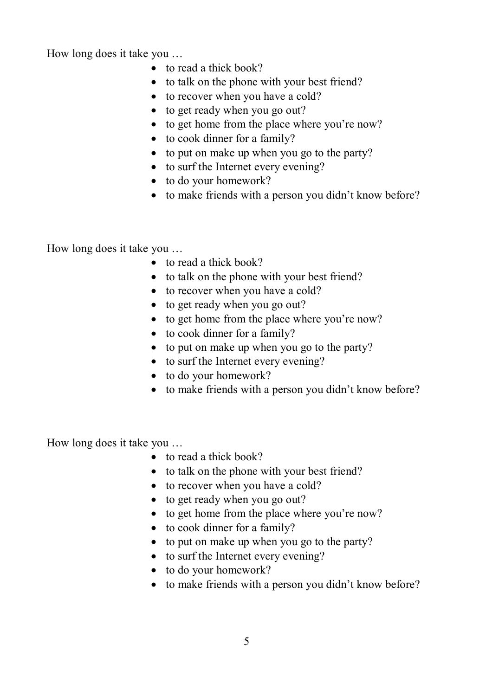How long does it take you …

- to read a thick book?
- to talk on the phone with your best friend?
- to recover when you have a cold?
- to get ready when you go out?
- to get home from the place where you're now?
- to cook dinner for a family?
- to put on make up when you go to the party?
- to surf the Internet every evening?
- to do your homework?
- to make friends with a person you didn't know before?

How long does it take you …

- to read a thick book?
- to talk on the phone with your best friend?
- to recover when you have a cold?
- to get ready when you go out?
- to get home from the place where you're now?
- to cook dinner for a family?
- to put on make up when you go to the party?
- to surf the Internet every evening?
- to do your homework?
- to make friends with a person you didn't know before?

How long does it take you …

- to read a thick book?
- to talk on the phone with your best friend?
- to recover when you have a cold?
- to get ready when you go out?
- to get home from the place where you're now?
- to cook dinner for a family?
- to put on make up when you go to the party?
- to surf the Internet every evening?
- to do your homework?
- to make friends with a person you didn't know before?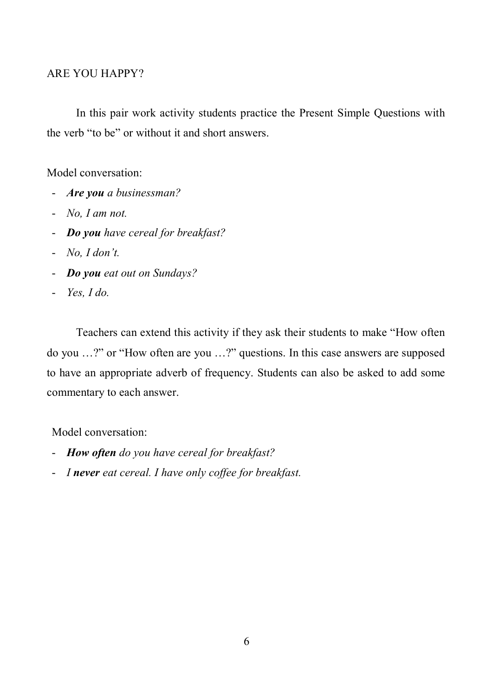### ARE YOU HAPPY?

In this pair work activity students practice the Present Simple Questions with the verb "to be" or without it and short answers.

Model conversation:

- *Are you a businessman?*
- *No, I am not.*
- *Do you have cereal for breakfast?*
- *No, I don't.*
- *Do you eat out on Sundays?*
- *Yes, I do.*

Teachers can extend this activity if they ask their students to make "How often do you …?" or "How often are you …?" questions. In this case answers are supposed to have an appropriate adverb of frequency. Students can also be asked to add some commentary to each answer.

Model conversation:

- *How often do you have cereal for breakfast?*
- *I never eat cereal. I have only coffee for breakfast.*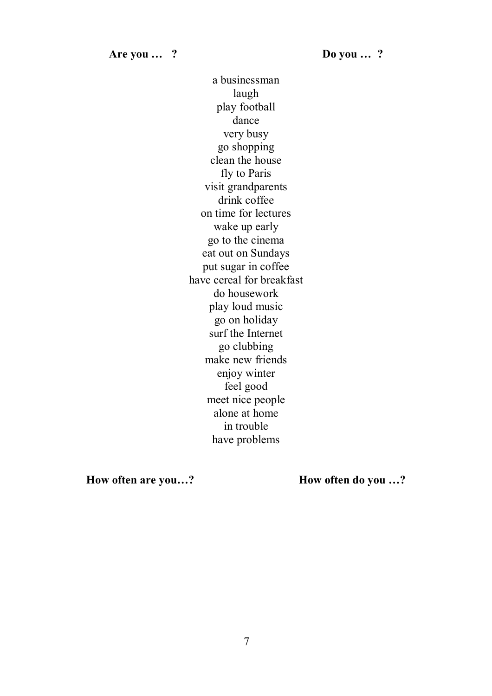a businessman laugh play football dance very busy go shopping clean the house fly to Paris visit grandparents drink coffee on time for lectures wake up early go to the cinema eat out on Sundays put sugar in coffee have cereal for breakfast do housework play loud music go on holiday surf the Internet go clubbing make new friends enjoy winter feel good meet nice people alone at home in trouble have problems

**How often are you…? How often do you …?**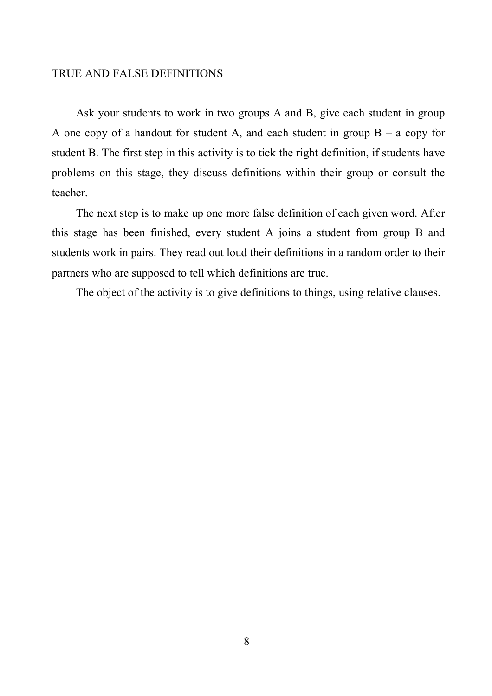#### TRUE AND FALSE DEFINITIONS

Ask your students to work in two groups A and B, give each student in group A one copy of a handout for student A, and each student in group  $B - a$  copy for student B. The first step in this activity is to tick the right definition, if students have problems on this stage, they discuss definitions within their group or consult the teacher.

The next step is to make up one more false definition of each given word. After this stage has been finished, every student A joins a student from group B and students work in pairs. They read out loud their definitions in a random order to their partners who are supposed to tell which definitions are true.

The object of the activity is to give definitions to things, using relative clauses.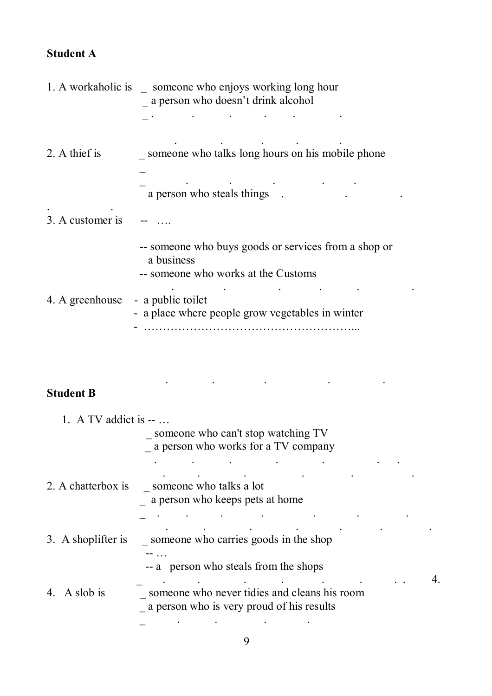# **Student A**

|                  | 1. A workaholic is someone who enjoys working long hour<br>a person who doesn't drink alcohol             |
|------------------|-----------------------------------------------------------------------------------------------------------|
|                  |                                                                                                           |
| 2. A thief is    | someone who talks long hours on his mobile phone                                                          |
|                  | a person who steals things                                                                                |
| 3. A customer is |                                                                                                           |
|                  | -- someone who buys goods or services from a shop or<br>a business<br>-- someone who works at the Customs |
| 4. A greenhouse  | - a public toilet<br>- a place where people grow vegetables in winter                                     |

# **Student B**

. The simulation of the simulation of the simulation of the simulation of the simulation of the simulation of the simulation of the simulation of the simulation of the simulation of the simulation of the simulation of the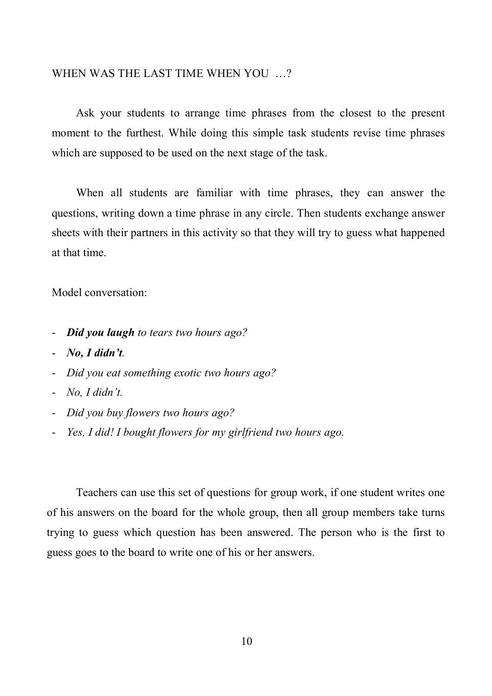#### WHEN WAS THE LAST TIME WHEN YOU …?

Ask your students to arrange time phrases from the closest to the present moment to the furthest. While doing this simple task students revise time phrases which are supposed to be used on the next stage of the task.

When all students are familiar with time phrases, they can answer the questions, writing down a time phrase in any circle. Then students exchange answer sheets with their partners in this activity so that they will try to guess what happened at that time.

Model conversation:

- *Did you laugh to tears two hours ago?*
- *No, I didn't.*
- *Did you eat something exotic two hours ago?*
- *No, I didn't.*
- *Did you buy flowers two hours ago?*
- *Yes, I did! I bought flowers for my girlfriend two hours ago.*

Teachers can use this set of questions for group work, if one student writes one of his answers on the board for the whole group, then all group members take turns trying to guess which question has been answered. The person who is the first to guess goes to the board to write one of his or her answers.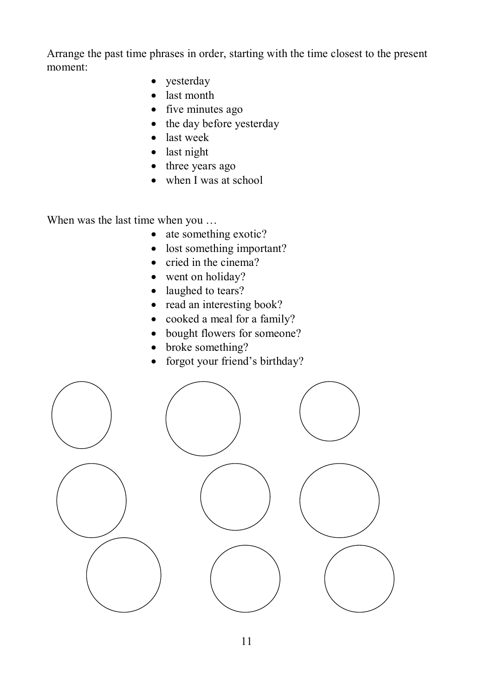Arrange the past time phrases in order, starting with the time closest to the present moment:

- yesterday
- last month
- five minutes ago
- $\bullet$  the day before yesterday
- last week
- last night
- three years ago
- when I was at school

When was the last time when you …

- ate something exotic?
- lost something important?
- $\bullet$  cried in the cinema?
- went on holiday?
- laughed to tears?
- read an interesting book?
- cooked a meal for a family?
- bought flowers for someone?
- broke something?
- forgot your friend's birthday?

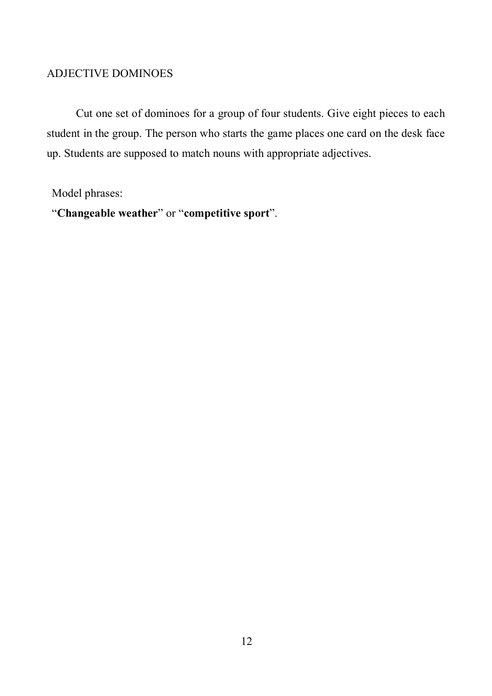### ADJECTIVE DOMINOES

Cut one set of dominoes for a group of four students. Give eight pieces to each student in the group. The person who starts the game places one card on the desk face up. Students are supposed to match nouns with appropriate adjectives.

Model phrases:

"**Changeable weather**" or "**competitive sport**".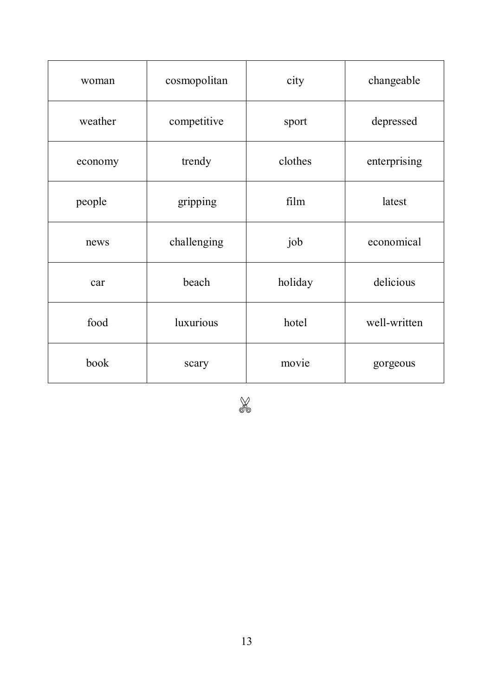| woman   | cosmopolitan | city    | changeable   |
|---------|--------------|---------|--------------|
| weather | competitive  | sport   | depressed    |
| economy | trendy       | clothes | enterprising |
| people  | gripping     | film    | latest       |
| news    | challenging  | job     | economical   |
| car     | beach        | holiday | delicious    |
| food    | luxurious    | hotel   | well-written |
| book    | scary        | movie   | gorgeous     |

X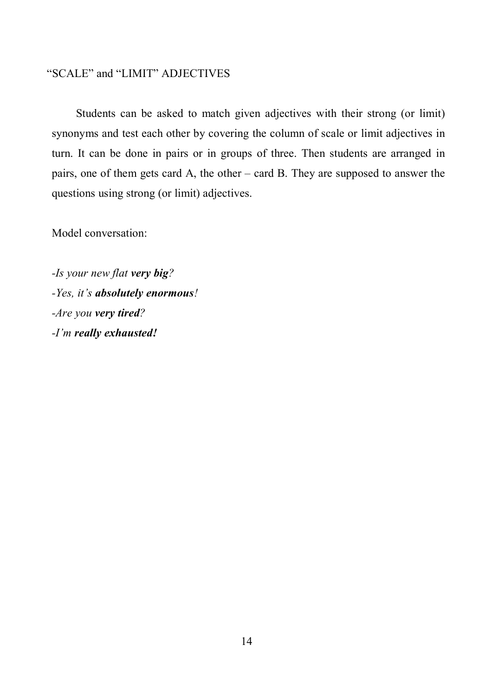### "SCALE" and "LIMIT" ADJECTIVES

Students can be asked to match given adjectives with their strong (or limit) synonyms and test each other by covering the column of scale or limit adjectives in turn. It can be done in pairs or in groups of three. Then students are arranged in pairs, one of them gets card A, the other – card B. They are supposed to answer the questions using strong (or limit) adjectives.

Model conversation:

*-Is your new flat very big? -Yes, it's absolutely enormous! -Are you very tired? -I'm really exhausted!*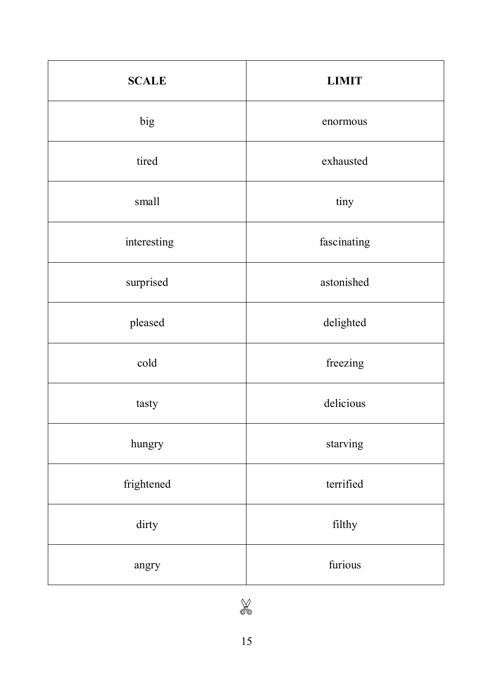| <b>SCALE</b> | <b>LIMIT</b> |
|--------------|--------------|
| big          | enormous     |
| tired        | exhausted    |
| small        | tiny         |
| interesting  | fascinating  |
| surprised    | astonished   |
| pleased      | delighted    |
| cold         | freezing     |
| tasty        | delicious    |
| hungry       | starving     |
| frightened   | terrified    |
| dirty        | filthy       |
| angry        | furious      |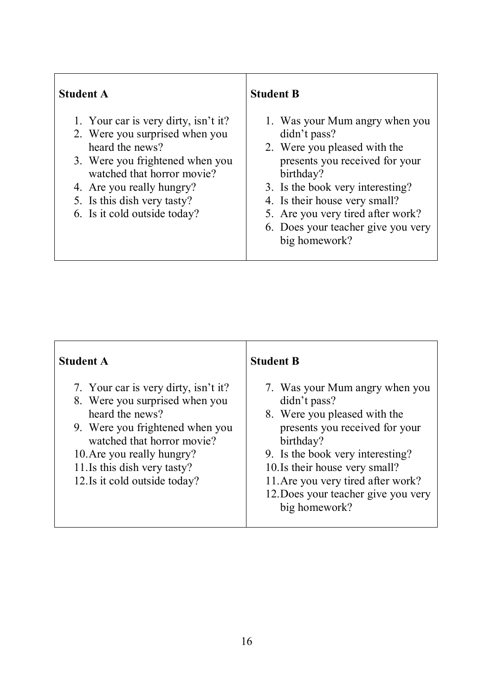### **Student A**

- 1. Your car is very dirty, isn't it?
- 2. Were you surprised when you heard the news?
- 3. Were you frightened when you watched that horror movie?
- 4. Are you really hungry?
- 5. Is this dish very tasty?
- 6. Is it cold outside today?

### **Student B**

- 1. Was your Mum angry when you didn't pass?
- 2. Were you pleased with the presents you received for your birthday?
- 3. Is the book very interesting?
- 4. Is their house very small?
- 5. Are you very tired after work?
- 6. Does your teacher give you very big homework?

| <b>Student A</b>                                                                                                                                                                                                                                          | <b>Student B</b>                                                                                                                                                                                                                                                                                  |
|-----------------------------------------------------------------------------------------------------------------------------------------------------------------------------------------------------------------------------------------------------------|---------------------------------------------------------------------------------------------------------------------------------------------------------------------------------------------------------------------------------------------------------------------------------------------------|
| 7. Your car is very dirty, isn't it?<br>8. Were you surprised when you<br>heard the news?<br>9. Were you frightened when you<br>watched that horror movie?<br>10. Are you really hungry?<br>11. Is this dish very tasty?<br>12. Is it cold outside today? | 7. Was your Mum angry when you<br>didn't pass?<br>8. Were you pleased with the<br>presents you received for your<br>birthday?<br>9. Is the book very interesting?<br>10. Is their house very small?<br>11. Are you very tired after work?<br>12. Does your teacher give you very<br>big homework? |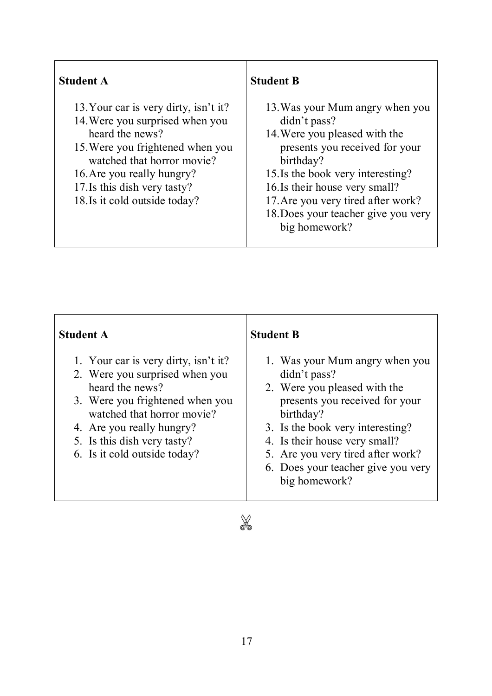| <b>Student A</b>                                                                                                                                                                                                                                             | <b>Student B</b>                                                                                                                                                                                                                                                                                     |
|--------------------------------------------------------------------------------------------------------------------------------------------------------------------------------------------------------------------------------------------------------------|------------------------------------------------------------------------------------------------------------------------------------------------------------------------------------------------------------------------------------------------------------------------------------------------------|
| 13. Your car is very dirty, isn't it?<br>14. Were you surprised when you<br>heard the news?<br>15. Were you frightened when you<br>watched that horror movie?<br>16. Are you really hungry?<br>17. Is this dish very tasty?<br>18. Is it cold outside today? | 13. Was your Mum angry when you<br>didn't pass?<br>14. Were you pleased with the<br>presents you received for your<br>birthday?<br>15. Is the book very interesting?<br>16. Is their house very small?<br>17. Are you very tired after work?<br>18. Does your teacher give you very<br>big homework? |

r

| <b>Student A</b>                                                                                                                                                                                                                                       | <b>Student B</b>                                                                                                                                                                                                                                                                               |
|--------------------------------------------------------------------------------------------------------------------------------------------------------------------------------------------------------------------------------------------------------|------------------------------------------------------------------------------------------------------------------------------------------------------------------------------------------------------------------------------------------------------------------------------------------------|
| 1. Your car is very dirty, isn't it?<br>2. Were you surprised when you<br>heard the news?<br>3. Were you frightened when you<br>watched that horror movie?<br>4. Are you really hungry?<br>5. Is this dish very tasty?<br>6. Is it cold outside today? | 1. Was your Mum angry when you<br>didn't pass?<br>2. Were you pleased with the<br>presents you received for your<br>birthday?<br>3. Is the book very interesting?<br>4. Is their house very small?<br>5. Are you very tired after work?<br>6. Does your teacher give you very<br>big homework? |
| $\wedge$                                                                                                                                                                                                                                               |                                                                                                                                                                                                                                                                                                |

X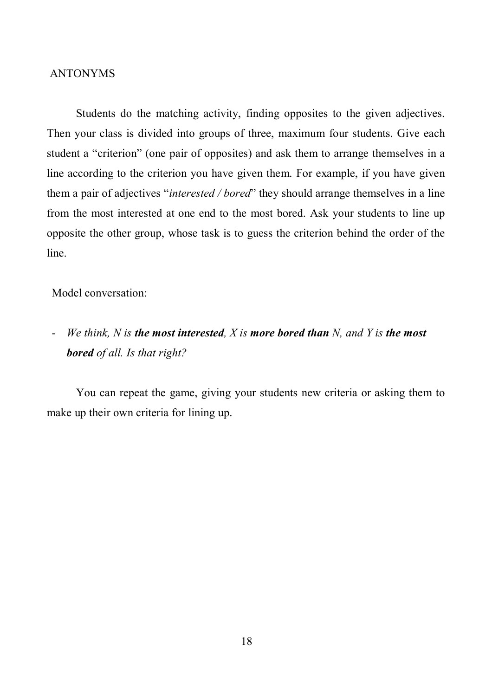#### ANTONYMS

Students do the matching activity, finding opposites to the given adjectives. Then your class is divided into groups of three, maximum four students. Give each student a "criterion" (one pair of opposites) and ask them to arrange themselves in a line according to the criterion you have given them. For example, if you have given them a pair of adjectives "*interested / bored*" they should arrange themselves in a line from the most interested at one end to the most bored. Ask your students to line up opposite the other group, whose task is to guess the criterion behind the order of the line.

Model conversation:

- *We think, N is the most interested, X is more bored than N, and Y is the most bored of all. Is that right?*

You can repeat the game, giving your students new criteria or asking them to make up their own criteria for lining up.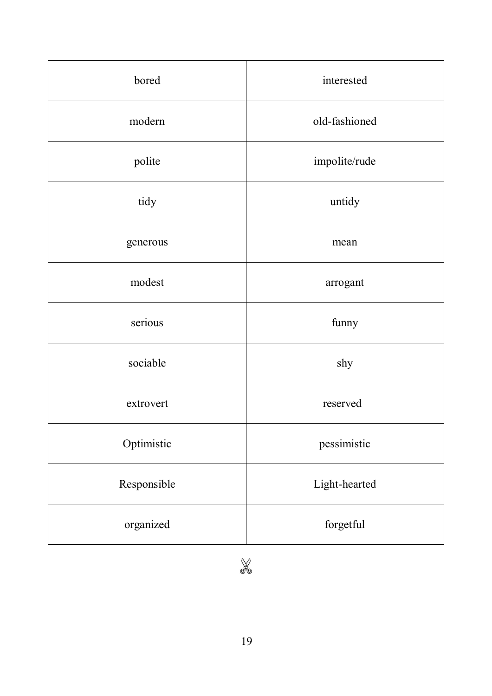| bored       | interested    |
|-------------|---------------|
| modern      | old-fashioned |
| polite      | impolite/rude |
| tidy        | untidy        |
| generous    | mean          |
| modest      | arrogant      |
| serious     | funny         |
| sociable    | shy           |
| extrovert   | reserved      |
| Optimistic  | pessimistic   |
| Responsible | Light-hearted |
| organized   | forgetful     |

X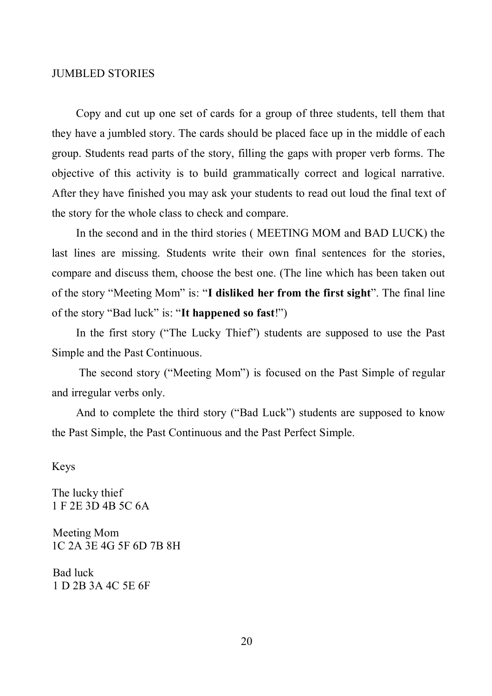#### JUMBLED STORIES

Copy and cut up one set of cards for a group of three students, tell them that they have a jumbled story. The cards should be placed face up in the middle of each group. Students read parts of the story, filling the gaps with proper verb forms. The objective of this activity is to build grammatically correct and logical narrative. After they have finished you may ask your students to read out loud the final text of the story for the whole class to check and compare.

In the second and in the third stories ( MEETING MOM and BAD LUCK) the last lines are missing. Students write their own final sentences for the stories, compare and discuss them, choose the best one. (The line which has been taken out of the story "Meeting Mom" is: "**I disliked her from the first sight**". The final line of the story "Bad luck" is: "**It happened so fast**!")

In the first story ("The Lucky Thief") students are supposed to use the Past Simple and the Past Continuous.

 The second story ("Meeting Mom") is focused on the Past Simple of regular and irregular verbs only.

And to complete the third story ("Bad Luck") students are supposed to know the Past Simple, the Past Continuous and the Past Perfect Simple.

Keys

The lucky thief 1 F 2E 3D 4B 5C 6A

 Meeting Mom 1C 2A 3E 4G 5F 6D 7B 8H

 Bad luck 1 D 2B 3A 4C 5E 6F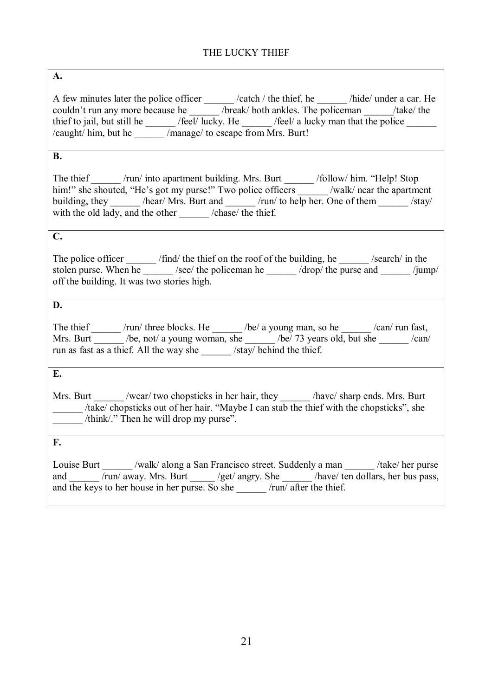### THE LUCKY THIEF

#### **A.**

A few minutes later the police officer \_\_\_\_\_\_ /catch / the thief, he \_\_\_\_\_\_ /hide/ under a car. He couldn't run any more because he /break/ both ankles. The policeman /take/ the thief to jail, but still he /feel/ lucky. He /feel/ a lucky man that the police /caught/ him, but he \_\_\_\_\_\_ /manage/ to escape from Mrs. Burt!

#### **B.**

The thief /run/ into apartment building. Mrs. Burt \_\_\_\_\_\_ /follow/ him. "Help! Stop him!" she shouted, "He's got my purse!" Two police officers \_\_\_\_\_\_ /walk/ near the apartment building, they /hear/ Mrs. Burt and /run/ to help her. One of them /stay/ with the old lady, and the other /chase/ the thief.

### **C.**

The police officer \_\_\_\_\_\_ /find/ the thief on the roof of the building, he \_\_\_\_\_\_ /search/ in the stolen purse. When he  $/$  /see/ the policeman he  $/$  drop/ the purse and  $/$ jump/ off the building. It was two stories high.

### **D.**

The thief  $/run/$  three blocks. He  $/be/a$  young man, so he  $/can/ run$  fast, Mrs. Burt  $\frac{1}{\sqrt{2}}$  /be, not/ a young woman, she  $\frac{1}{\sqrt{2}}$  /be/ 73 years old, but she  $\frac{1}{\sqrt{2}}$  /can/ run as fast as a thief. All the way she /stay/ behind the thief.

**E.**

Mrs. Burt /wear/ two chopsticks in her hair, they /have/ sharp ends. Mrs. Burt \_\_\_\_\_\_ /take/ chopsticks out of her hair. "Maybe I can stab the thief with the chopsticks", she \_\_\_\_\_\_ /think/." Then he will drop my purse".

**F.**

Louise Burt /walk/ along a San Francisco street. Suddenly a man /take/ her purse and /run/ away. Mrs. Burt /get/ angry. She /have/ ten dollars, her bus pass, and the keys to her house in her purse. So she  $\frac{1}{\tan \theta}$  /run/ after the thief.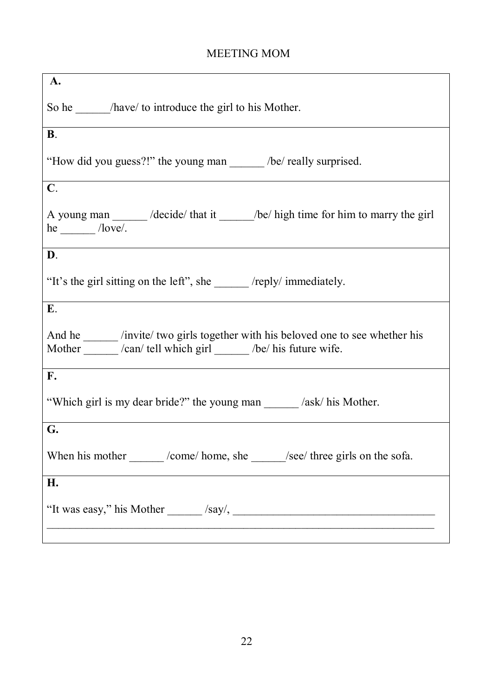# MEETING MOM

| A.                                                                                                                                                   |  |  |
|------------------------------------------------------------------------------------------------------------------------------------------------------|--|--|
| So he _______ /have/ to introduce the girl to his Mother.                                                                                            |  |  |
| $\mathbf{B}$ .                                                                                                                                       |  |  |
| "How did you guess?!" the young man /be/ really surprised.                                                                                           |  |  |
| $\mathbf{C}$ .                                                                                                                                       |  |  |
| A young man _____ /decide/ that it _____ /be/ high time for him to marry the girl<br>$he$ /love/.                                                    |  |  |
| D.                                                                                                                                                   |  |  |
| "It's the girl sitting on the left", she ________ /reply/ immediately.                                                                               |  |  |
| Ε.                                                                                                                                                   |  |  |
| And he ______ /invite/ two girls together with his beloved one to see whether his<br>Mother ______ /can/ tell which girl _____ /be/ his future wife. |  |  |
| $\mathbf{F}_{\bullet}$                                                                                                                               |  |  |
| "Which girl is my dear bride?" the young man /ask/ his Mother.                                                                                       |  |  |
| G.                                                                                                                                                   |  |  |
| When his mother _______ /come/ home, she ______ /see/ three girls on the sofa.                                                                       |  |  |
| H.                                                                                                                                                   |  |  |
|                                                                                                                                                      |  |  |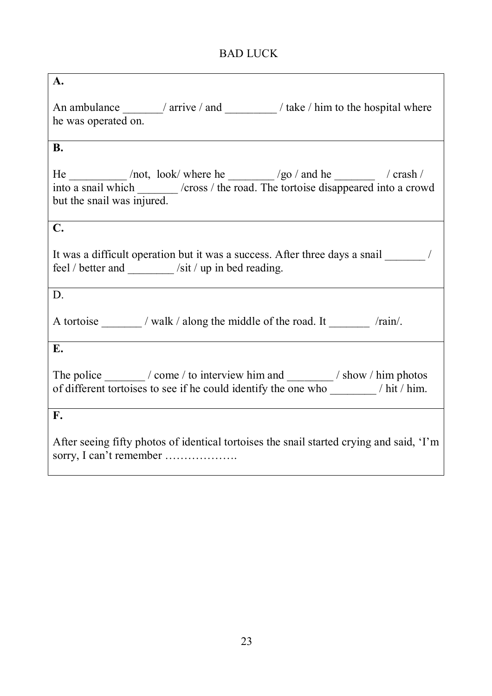# BAD LUCK

| A.                                                                                                                                                                                    |
|---------------------------------------------------------------------------------------------------------------------------------------------------------------------------------------|
|                                                                                                                                                                                       |
| An ambulance ________/ arrive / and ____________/ take / him to the hospital where                                                                                                    |
| he was operated on.                                                                                                                                                                   |
|                                                                                                                                                                                       |
| <b>B.</b>                                                                                                                                                                             |
|                                                                                                                                                                                       |
| He $\frac{\ }{\ }$ /not, look/ where he $\frac{\ }{\ }$ /go / and he $\frac{\ }{\ }$ / crash /<br>into a snail which _______ /cross / the road. The tortoise disappeared into a crowd |
| but the snail was injured.                                                                                                                                                            |
|                                                                                                                                                                                       |
| C.                                                                                                                                                                                    |
|                                                                                                                                                                                       |
| It was a difficult operation but it was a success. After three days a snail /                                                                                                         |
| feel / better and _______ /sit / up in bed reading.                                                                                                                                   |
|                                                                                                                                                                                       |
| D.                                                                                                                                                                                    |
|                                                                                                                                                                                       |
| A tortoise ________ / walk / along the middle of the road. It /rain/.                                                                                                                 |
|                                                                                                                                                                                       |
| E.                                                                                                                                                                                    |
| The police __________/ come / to interview him and ___________/ show / him photos                                                                                                     |
|                                                                                                                                                                                       |
|                                                                                                                                                                                       |
| $\mathbf{F}$ .                                                                                                                                                                        |
|                                                                                                                                                                                       |
| After seeing fifty photos of identical tortoises the snail started crying and said, 'I'm                                                                                              |
| sorry, I can't remember                                                                                                                                                               |
|                                                                                                                                                                                       |

 $\overline{\phantom{a}}$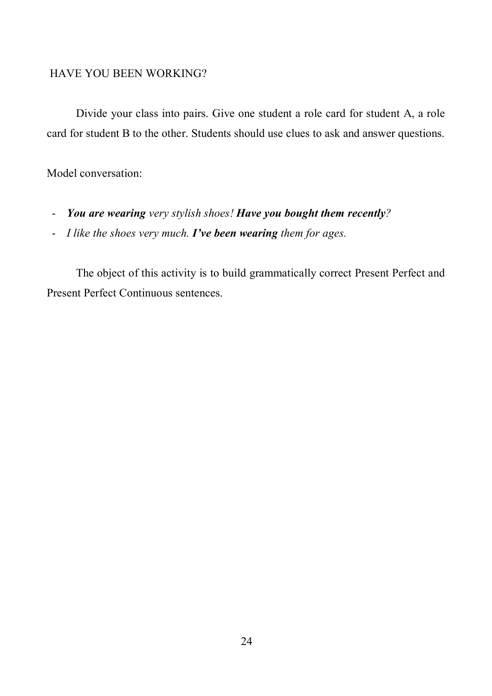#### HAVE YOU BEEN WORKING?

Divide your class into pairs. Give one student a role card for student A, a role card for student B to the other. Students should use clues to ask and answer questions.

### Model conversation:

- *You are wearing very stylish shoes! Have you bought them recently?*
- *I like the shoes very much. I've been wearing them for ages.*

The object of this activity is to build grammatically correct Present Perfect and Present Perfect Continuous sentences.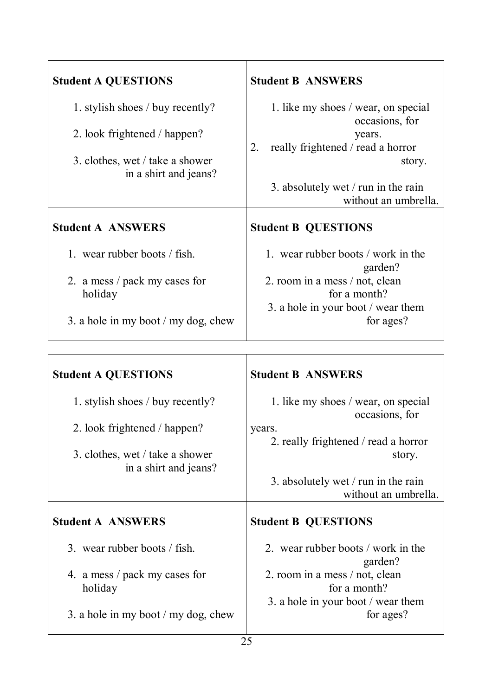| <b>Student A QUESTIONS</b>                                                                                                   | <b>Student B ANSWERS</b>                                                                                                                                                            |
|------------------------------------------------------------------------------------------------------------------------------|-------------------------------------------------------------------------------------------------------------------------------------------------------------------------------------|
| 1. stylish shoes / buy recently?<br>2. look frightened / happen?<br>3. clothes, wet / take a shower<br>in a shirt and jeans? | 1. like my shoes / wear, on special<br>occasions, for<br>years.<br>really frightened / read a horror<br>2.<br>story.<br>3. absolutely wet / run in the rain<br>without an umbrella. |
| <b>Student A ANSWERS</b>                                                                                                     | <b>Student B QUESTIONS</b>                                                                                                                                                          |
| 1. wear rubber boots / fish.<br>2. a mess / pack my cases for<br>holiday                                                     | 1. wear rubber boots / work in the<br>garden?<br>2. room in a mess / not, clean<br>for a month?<br>3. a hole in your boot / wear them                                               |
| 3. a hole in my boot $/my$ dog, chew                                                                                         | for ages?                                                                                                                                                                           |

| <b>Student A QUESTIONS</b>                               | <b>Student B ANSWERS</b>                              |
|----------------------------------------------------------|-------------------------------------------------------|
| 1. stylish shoes / buy recently?                         | 1. like my shoes / wear, on special<br>occasions, for |
| 2. look frightened / happen?                             | years.                                                |
|                                                          | 2. really frightened / read a horror                  |
| 3. clothes, wet / take a shower<br>in a shirt and jeans? | story.                                                |
|                                                          | 3. absolutely wet / run in the rain                   |
|                                                          | without an umbrella.                                  |
| <b>Student A ANSWERS</b>                                 | <b>Student B QUESTIONS</b>                            |
| 3. wear rubber boots / fish.                             | 2. wear rubber boots / work in the<br>garden?         |
| 4. a mess / pack my cases for<br>holiday                 | 2. room in a mess / not, clean<br>for a month?        |
| 3. a hole in my boot $/my$ dog, chew                     | 3. a hole in your boot / wear them<br>for ages?       |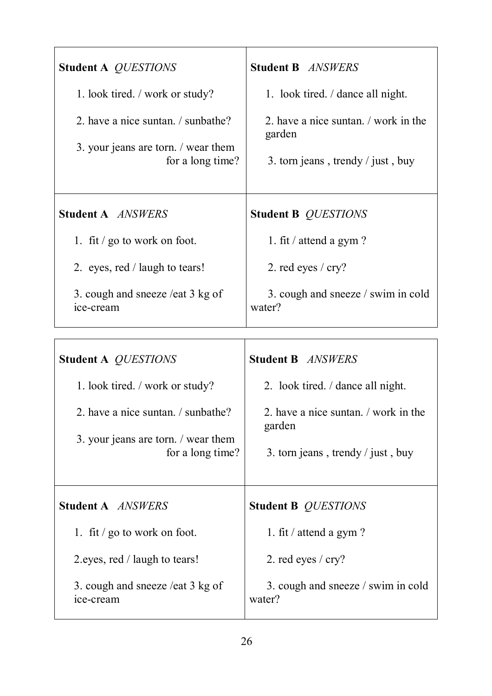| <b>Student A QUESTIONS</b>                                                                    | <b>Student B ANSWERS</b>                                                          |
|-----------------------------------------------------------------------------------------------|-----------------------------------------------------------------------------------|
| 1. look tired. / work or study?                                                               | 1. look tired. / dance all night.                                                 |
| 2. have a nice suntan. / sunbathe?<br>3. your jeans are torn. / wear them<br>for a long time? | 2. have a nice suntan. work in the<br>garden<br>3. torn jeans, trendy / just, buy |
| <b>Student A ANSWERS</b>                                                                      | <b>Student B QUESTIONS</b>                                                        |
| 1. fit $\frac{1}{2}$ go to work on foot.                                                      | 1. fit / attend a gym?                                                            |
| 2. eyes, red / laugh to tears!                                                                | 2. red eyes / cry?                                                                |
| 3. cough and sneeze /eat 3 kg of<br>ice-cream                                                 | 3. cough and sneeze / swim in cold<br>water?                                      |
|                                                                                               |                                                                                   |
| <b>Student A QUESTIONS</b>                                                                    | <b>Student B</b> ANSWERS                                                          |
| 1. look tired. / work or study?                                                               | 2. look tired. / dance all night.                                                 |
| 2. have a nice suntan. / sunbathe?                                                            | 2. have a nice suntan. / work in the<br>garden                                    |
| 3. your jeans are torn. / wear them<br>for a long time?                                       | 3. torn jeans, trendy / just, buy                                                 |
| <b>Student A ANSWERS</b>                                                                      | <b>Student B QUESTIONS</b>                                                        |

water?

1. fit / attend a gym ?

3. cough and sneeze / swim in cold

2. red eyes / cry?

1. fit / go to work on foot.

2.eyes, red / laugh to tears!

ice-cream

3. cough and sneeze /eat 3 kg of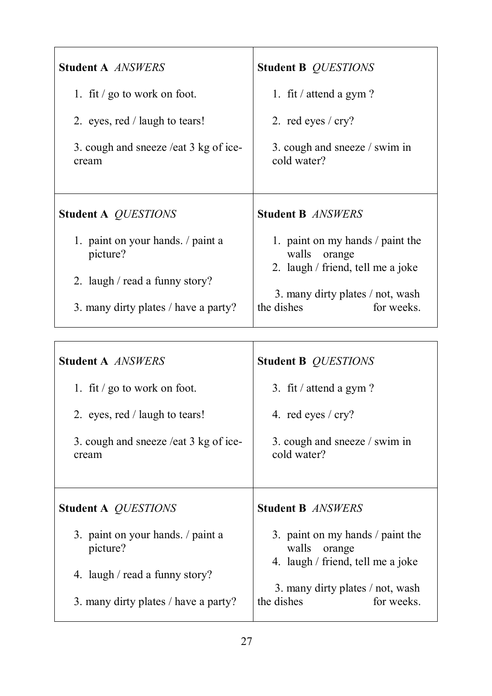| <b>Student A ANSWERS</b>                       | <b>Student B QUESTIONS</b>                                                               |
|------------------------------------------------|------------------------------------------------------------------------------------------|
| 1. fit / go to work on foot.                   | 1. fit / attend a gym?                                                                   |
| 2. eyes, red / laugh to tears!                 | 2. red eyes $/$ cry?                                                                     |
| 3. cough and sneeze /eat 3 kg of ice-<br>cream | 3. cough and sneeze / swim in<br>cold water?                                             |
| <b>Student A QUESTIONS</b>                     | <b>Student B ANSWERS</b>                                                                 |
|                                                |                                                                                          |
| 1. paint on your hands. / paint a<br>picture?  | 1. paint on my hands / paint the<br>walls<br>orange<br>2. laugh / friend, tell me a joke |
| 2. laugh / read a funny story?                 | 3. many dirty plates / not, wash                                                         |

| <b>Student A ANSWERS</b>                       | <b>Student B QUESTIONS</b>                                                               |
|------------------------------------------------|------------------------------------------------------------------------------------------|
| 1. fit / go to work on foot.                   | 3. fit / attend a gym?                                                                   |
| 2. eyes, red / laugh to tears!                 | 4. red eyes $/$ cry?                                                                     |
| 3. cough and sneeze /eat 3 kg of ice-<br>cream | 3. cough and sneeze / swim in<br>cold water?                                             |
| <b>Student A QUESTIONS</b>                     | <b>Student B ANSWERS</b>                                                                 |
| 3. paint on your hands. / paint a<br>picture?  | 3. paint on my hands / paint the<br>walls<br>orange<br>4. laugh / friend, tell me a joke |
| 4. laugh / read a funny story?                 |                                                                                          |
| 3. many dirty plates / have a party?           | 3. many dirty plates / not, wash<br>the dishes<br>for weeks.                             |

 $\mathbf{I}$ 

٦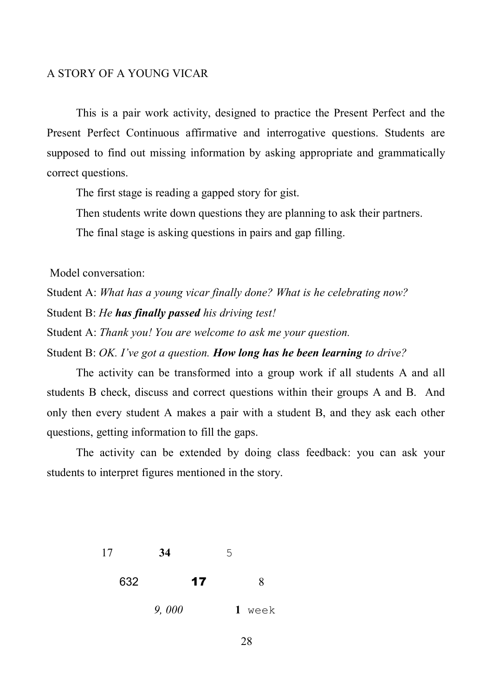#### A STORY OF A YOUNG VICAR

This is a pair work activity, designed to practice the Present Perfect and the Present Perfect Continuous affirmative and interrogative questions. Students are supposed to find out missing information by asking appropriate and grammatically correct questions.

The first stage is reading a gapped story for gist.

Then students write down questions they are planning to ask their partners.

The final stage is asking questions in pairs and gap filling.

Model conversation:

Student A: *What has a young vicar finally done? What is he celebrating now?* Student B: *He has finally passed his driving test!*

Student A: *Thank you! You are welcome to ask me your question.*

Student B: *OK. I've got a question. How long has he been learning to drive?*

The activity can be transformed into a group work if all students A and all students B check, discuss and correct questions within their groups A and B. And only then every student A makes a pair with a student B, and they ask each other questions, getting information to fill the gaps.

The activity can be extended by doing class feedback: you can ask your students to interpret figures mentioned in the story.

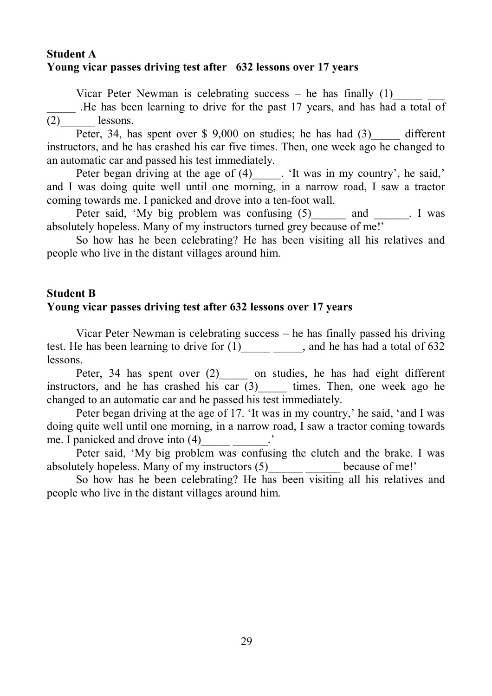### **Student A Young vicar passes driving test after 632 lessons over 17 years**

Vicar Peter Newman is celebrating success – he has finally  $(1)$ 

. He has been learning to drive for the past 17 years, and has had a total of  $(2)$  lessons.

Peter, 34, has spent over \$ 9,000 on studies; he has had  $(3)$  different instructors, and he has crashed his car five times. Then, one week ago he changed to an automatic car and passed his test immediately.

Peter began driving at the age of  $(4)$  [1]. 'It was in my country', he said,' and I was doing quite well until one morning, in a narrow road, I saw a tractor coming towards me. I panicked and drove into a ten-foot wall.

Peter said, 'My big problem was confusing (5) and Figures and Figures and Figures and Texas absolutely hopeless. Many of my instructors turned grey because of me!'

So how has he been celebrating? He has been visiting all his relatives and people who live in the distant villages around him.

### **Student B**

### **Young vicar passes driving test after 632 lessons over 17 years**

Vicar Peter Newman is celebrating success – he has finally passed his driving test. He has been learning to drive for (1) and he has had a total of 632 lessons.

Peter, 34 has spent over (2) on studies, he has had eight different instructors, and he has crashed his car  $(3)$  times. Then, one week ago he changed to an automatic car and he passed his test immediately.

Peter began driving at the age of 17. 'It was in my country,' he said, 'and I was doing quite well until one morning, in a narrow road, I saw a tractor coming towards me. I panicked and drove into (4)\_\_\_\_\_ \_\_\_\_\_\_.'

Peter said, 'My big problem was confusing the clutch and the brake. I was absolutely hopeless. Many of my instructors (5) because of me!'

So how has he been celebrating? He has been visiting all his relatives and people who live in the distant villages around him.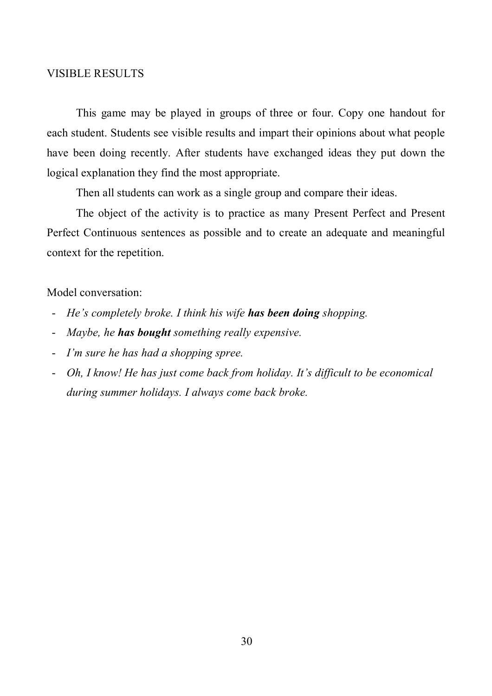#### VISIBLE RESULTS

This game may be played in groups of three or four. Copy one handout for each student. Students see visible results and impart their opinions about what people have been doing recently. After students have exchanged ideas they put down the logical explanation they find the most appropriate.

Then all students can work as a single group and compare their ideas.

The object of the activity is to practice as many Present Perfect and Present Perfect Continuous sentences as possible and to create an adequate and meaningful context for the repetition.

#### Model conversation:

- *He's completely broke. I think his wife has been doing shopping.*
- *Maybe, he has bought something really expensive.*
- *I'm sure he has had a shopping spree.*
- *Oh, I know! He has just come back from holiday. It's difficult to be economical during summer holidays. I always come back broke.*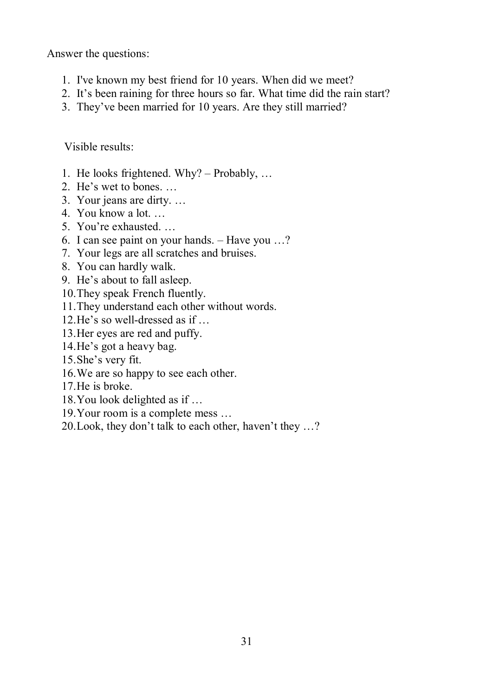Answer the questions:

- 1. I've known my best friend for 10 years. When did we meet?
- 2. It's been raining for three hours so far. What time did the rain start?
- 3. They've been married for 10 years. Are they still married?

Visible results:

- 1. He looks frightened. Why? Probably, …
- 2. He's wet to bones. …
- 3. Your jeans are dirty. …
- 4. You know a lot. …
- 5. You're exhausted. …
- 6. I can see paint on your hands. Have you …?
- 7. Your legs are all scratches and bruises.
- 8. You can hardly walk.
- 9. He's about to fall asleep.
- 10.They speak French fluently.
- 11.They understand each other without words.
- 12.He's so well-dressed as if …
- 13.Her eyes are red and puffy.
- 14.He's got a heavy bag.
- 15.She's very fit.
- 16.We are so happy to see each other.
- 17.He is broke.
- 18.You look delighted as if …
- 19.Your room is a complete mess …
- 20.Look, they don't talk to each other, haven't they …?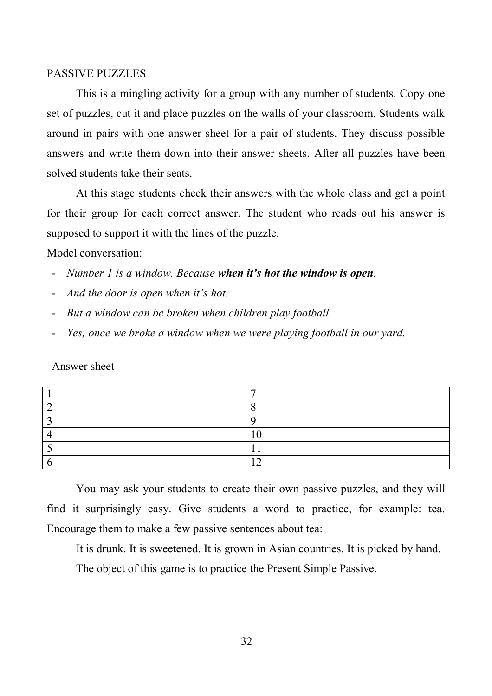#### PASSIVE PUZZLES

This is a mingling activity for a group with any number of students. Copy one set of puzzles, cut it and place puzzles on the walls of your classroom. Students walk around in pairs with one answer sheet for a pair of students. They discuss possible answers and write them down into their answer sheets. After all puzzles have been solved students take their seats.

At this stage students check their answers with the whole class and get a point for their group for each correct answer. The student who reads out his answer is supposed to support it with the lines of the puzzle.

Model conversation:

- *Number 1 is a window. Because when it's hot the window is open.*
- *And the door is open when it's hot.*
- *But a window can be broken when children play football.*
- *Yes, once we broke a window when we were playing football in our yard.*

Answer sheet

You may ask your students to create their own passive puzzles, and they will find it surprisingly easy. Give students a word to practice, for example: tea. Encourage them to make a few passive sentences about tea:

It is drunk. It is sweetened. It is grown in Asian countries. It is picked by hand.

The object of this game is to practice the Present Simple Passive.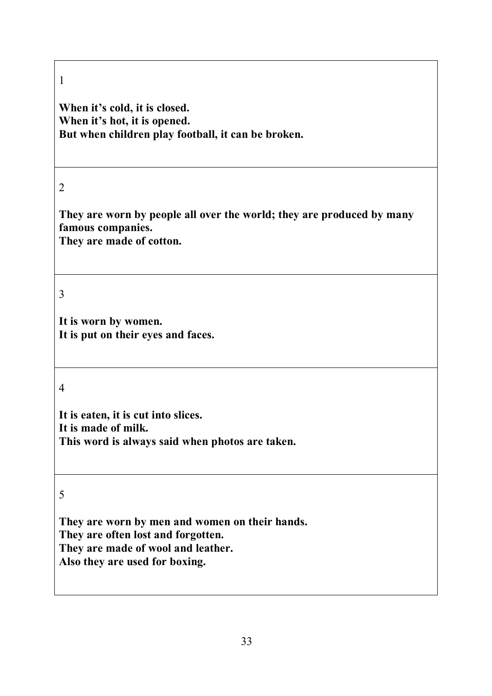**When it's cold, it is closed. When it's hot, it is opened. But when children play football, it can be broken.**

### 2

**They are worn by people all over the world; they are produced by many famous companies. They are made of cotton.** 

### 3

**It is worn by women. It is put on their eyes and faces.**

#### 4

**It is eaten, it is cut into slices. It is made of milk. This word is always said when photos are taken.**

#### 5

**They are worn by men and women on their hands. They are often lost and forgotten. They are made of wool and leather. Also they are used for boxing.**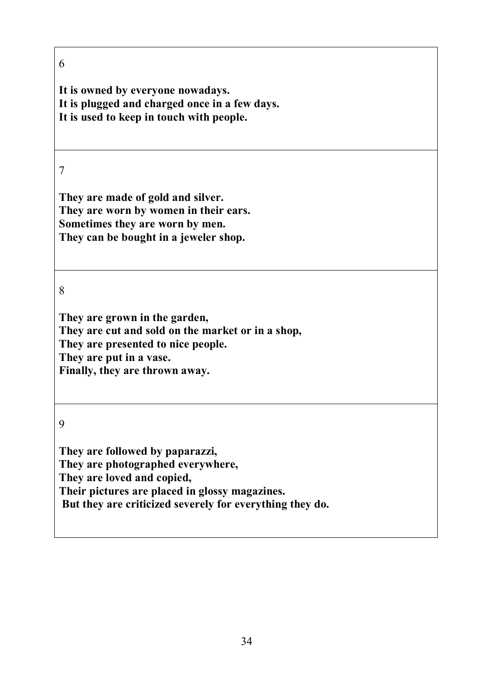**It is owned by everyone nowadays. It is plugged and charged onсe in a few days. It is used to keep in touch with people.**

7

**They are made of gold and silver. They are worn by women in their ears. Sometimes they are worn by men. They can be bought in a jeweler shop.**

8

**They are grown in the garden, They are cut and sold on the market or in a shop, They are presented to nice people. They are put in a vase. Finally, they are thrown away.**

9

**They are followed by paparazzi, They are photographed everywhere, They are loved and copied, Their pictures are placed in glossy magazines. But they are criticized severely for everything they do.**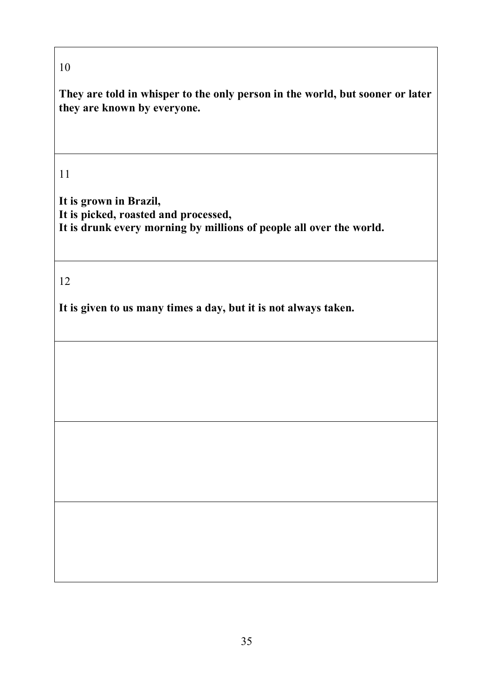**They are told in whisper to the only person in the world, but sooner or later they are known by everyone.**

# 11

**It is grown in Brazil, It is picked, roasted and processed, It is drunk every morning by millions of people all over the world.** 

# 12

**It is given to us many times a day, but it is not always taken.**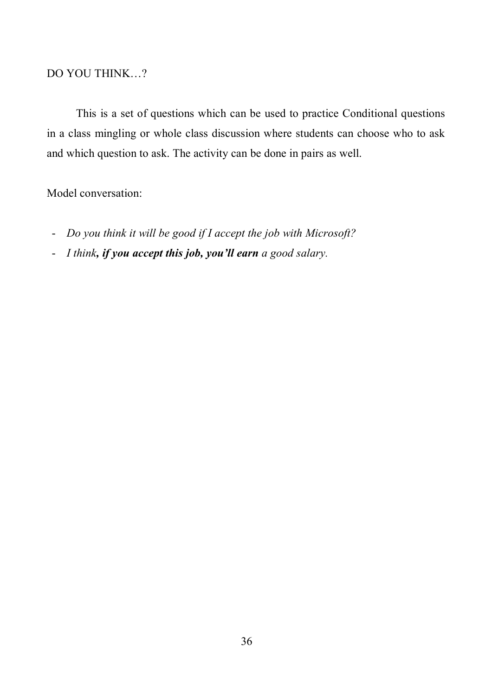### DO YOU THINK…?

This is a set of questions which can be used to practice Conditional questions in a class mingling or whole class discussion where students can choose who to ask and which question to ask. The activity can be done in pairs as well.

#### Model conversation:

- *Do you think it will be good if I accept the job with Microsoft?*
- *I think, if you accept this job, you'll earn a good salary.*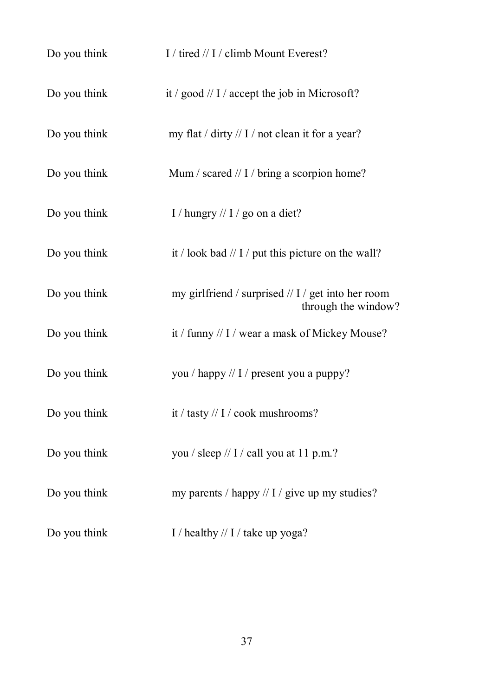| Do you think | I / tired // I / climb Mount Everest?                                     |
|--------------|---------------------------------------------------------------------------|
| Do you think | it / good // I / accept the job in Microsoft?                             |
| Do you think | my flat / dirty // I / not clean it for a year?                           |
| Do you think | Mum / scared // I / bring a scorpion home?                                |
| Do you think | I / hungry // I / go on a diet?                                           |
| Do you think | it / look bad // I / put this picture on the wall?                        |
| Do you think | my girlfriend / surprised // I / get into her room<br>through the window? |
| Do you think | it / funny // I / wear a mask of Mickey Mouse?                            |
| Do you think | you / happy // I / present you a puppy?                                   |
| Do you think | it / tasty // $I / \text{cook}$ mushrooms?                                |
| Do you think | you / sleep // I / call you at 11 p.m.?                                   |
| Do you think | my parents / happy // $I$ / give up my studies?                           |
| Do you think | I / healthy // I / take up yoga?                                          |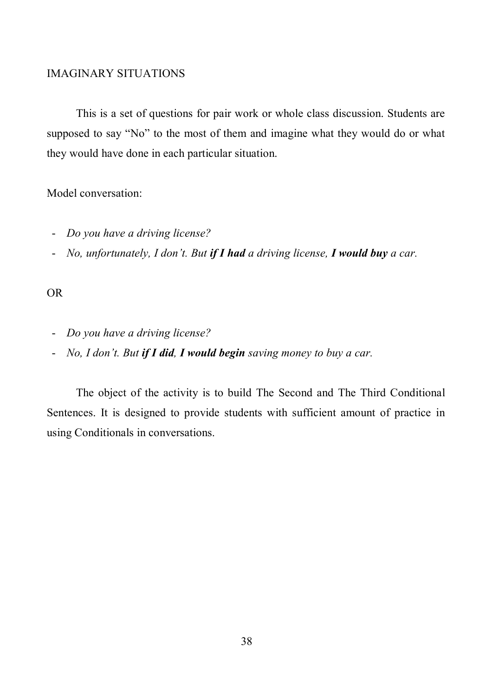### IMAGINARY SITUATIONS

This is a set of questions for pair work or whole class discussion. Students are supposed to say "No" to the most of them and imagine what they would do or what they would have done in each particular situation.

#### Model conversation:

- *Do you have a driving license?*
- *No, unfortunately, I don't. But if I had a driving license, I would buy a car.*

### OR

- *Do you have a driving license?*
- *No, I don't. But if I did, I would begin saving money to buy a car.*

The object of the activity is to build The Second and The Third Conditional Sentences. It is designed to provide students with sufficient amount of practice in using Conditionals in conversations.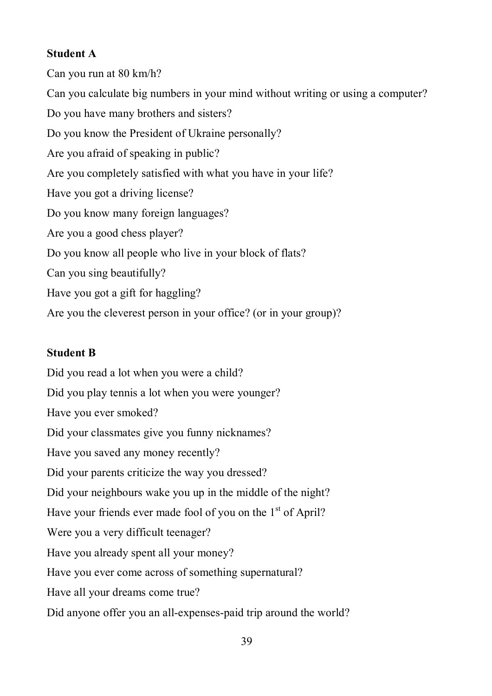# **Student A**

Can you run at 80 km/h? Can you calculate big numbers in your mind without writing or using a computer? Do you have many brothers and sisters? Do you know the President of Ukraine personally? Are you afraid of speaking in public? Are you completely satisfied with what you have in your life? Have you got a driving license? Do you know many foreign languages? Are you a good chess player? Do you know all people who live in your block of flats? Can you sing beautifully? Have you got a gift for haggling? Are you the cleverest person in your office? (or in your group)?

## **Student B**

Did you read a lot when you were a child? Did you play tennis a lot when you were younger? Have you ever smoked? Did your classmates give you funny nicknames? Have you saved any money recently? Did your parents criticize the way you dressed? Did your neighbours wake you up in the middle of the night? Have your friends ever made fool of you on the  $1<sup>st</sup>$  of April? Were you a very difficult teenager? Have you already spent all your money? Have you ever come across of something supernatural? Have all your dreams come true? Did anyone offer you an all-expenses-paid trip around the world?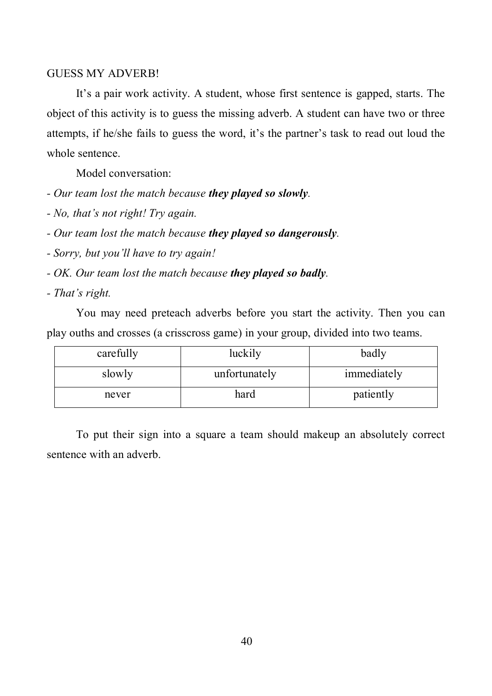#### GUESS MY ADVERB!

It's a pair work activity. A student, whose first sentence is gapped, starts. The object of this activity is to guess the missing adverb. A student can have two or three attempts, if he/she fails to guess the word, it's the partner's task to read out loud the whole sentence.

Model conversation:

- *Our team lost the match because they played so slowly.*
- *No, that's not right! Try again.*
- *Our team lost the match because they played so dangerously.*
- *Sorry, but you'll have to try again!*
- *OK. Our team lost the match because they played so badly.*
- *That's right.*

You may need preteach adverbs before you start the activity. Then you can play ouths and crosses (a crisscross game) in your group, divided into two teams.

| carefully | luckily       | badly       |
|-----------|---------------|-------------|
| slowly    | unfortunately | immediately |
| never     | hard          | patiently   |

To put their sign into a square a team should makeup an absolutely correct sentence with an adverb.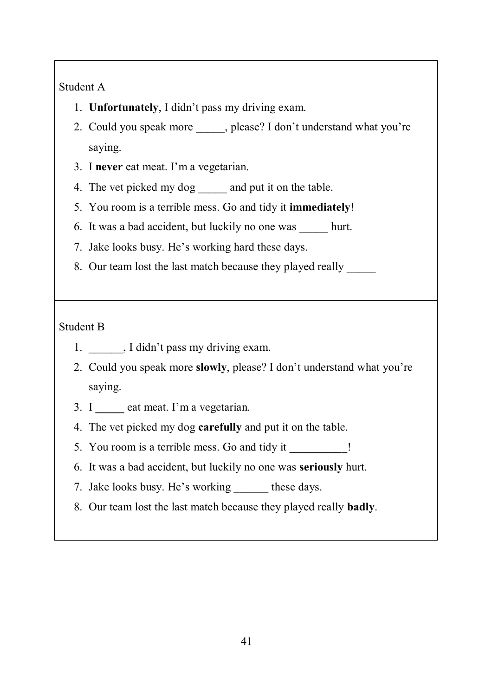# Student A

- 1. **Unfortunately**, I didn't pass my driving exam.
- 2. Could you speak more \_\_\_\_\_, please? I don't understand what you're saying.
- 3. I **never** eat meat. I'm a vegetarian.
- 4. The vet picked my dog \_\_\_\_\_\_ and put it on the table.
- 5. You room is a terrible mess. Go and tidy it **immediately**!
- 6. It was a bad accident, but luckily no one was \_\_\_\_\_ hurt.
- 7. Jake looks busy. He's working hard these days.
- 8. Our team lost the last match because they played really

# Student B

- 1. \_\_\_\_\_\_, I didn't pass my driving exam.
- 2. Could you speak more **slowly**, please? I don't understand what you're saying.
- 3. I **\_\_\_\_\_** eat meat. I'm a vegetarian.
- 4. The vet picked my dog **carefully** and put it on the table.
- 5. You room is a terrible mess. Go and tidy it **\_\_\_\_\_\_\_\_\_\_**!
- 6. It was a bad accident, but luckily no one was **seriously** hurt.
- 7. Jake looks busy. He's working these days.
- 8. Our team lost the last match because they played really **badly**.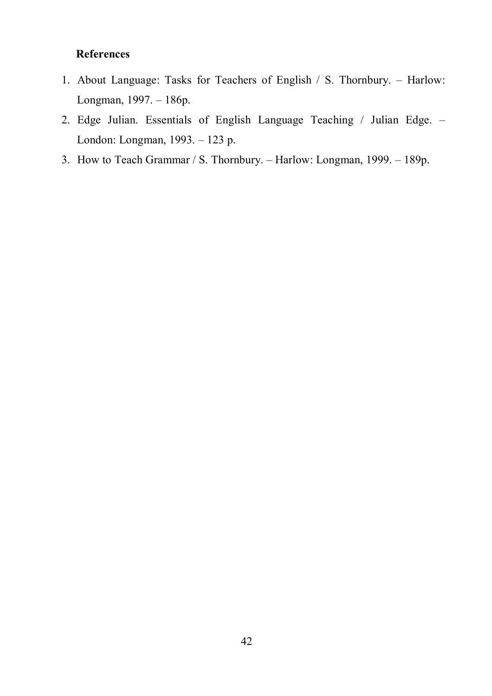# **References**

- 1. About Language: Tasks for Teachers of English / S. Thornbury. Harlow: Longman, 1997. – 186p.
- 2. Edge Julian. Essentials of English Language Teaching / Julian Edge. London: Longman, 1993. – 123 p.
- 3. How to Teach Grammar / S. Thornbury. Harlow: Longman, 1999. 189p.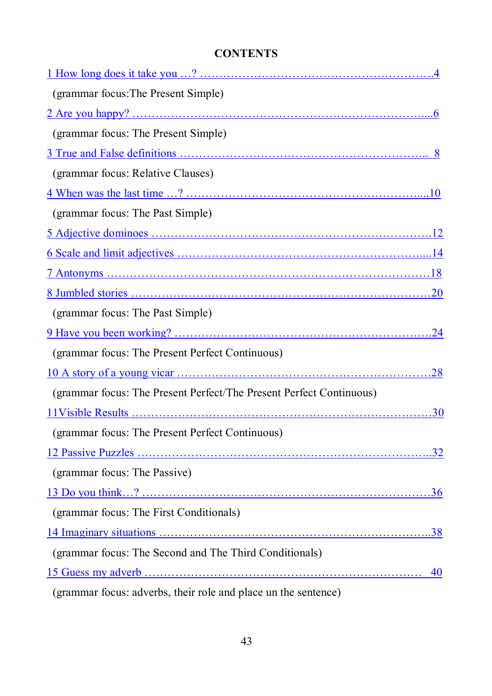# **CONTENTS**

| (grammar focus: The Present Simple)                                 |    |
|---------------------------------------------------------------------|----|
|                                                                     |    |
| (grammar focus: The Present Simple)                                 |    |
|                                                                     |    |
| (grammar focus: Relative Clauses)                                   |    |
|                                                                     |    |
| (grammar focus: The Past Simple)                                    |    |
|                                                                     |    |
|                                                                     |    |
|                                                                     |    |
|                                                                     |    |
| (grammar focus: The Past Simple)                                    |    |
|                                                                     |    |
| (grammar focus: The Present Perfect Continuous)                     |    |
|                                                                     |    |
| (grammar focus: The Present Perfect/The Present Perfect Continuous) |    |
|                                                                     |    |
| (grammar focus: The Present Perfect Continuous)                     |    |
|                                                                     |    |
| (grammar focus: The Passive)                                        |    |
|                                                                     |    |
| (grammar focus: The First Conditionals)                             |    |
|                                                                     |    |
| (grammar focus: The Second and The Third Conditionals)              |    |
|                                                                     | 40 |
| (grammar focus: adverbs, their role and place un the sentence)      |    |